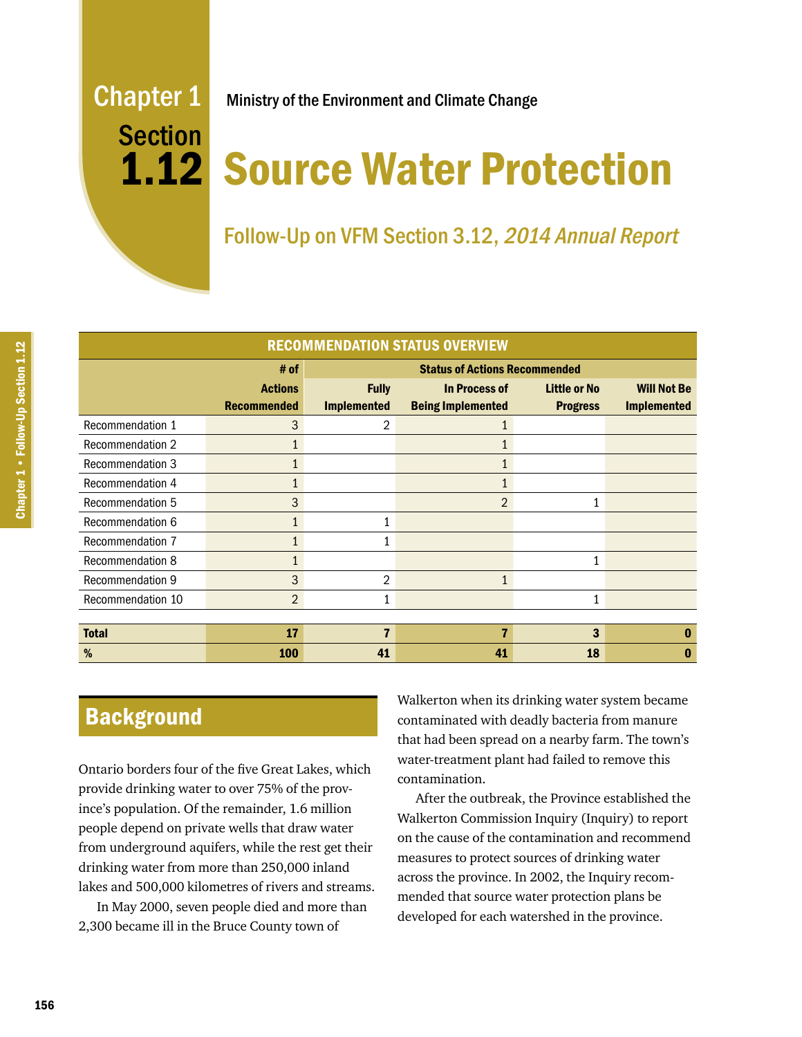# Section

# Chapter 1 Ministry of the Environment and Climate Change

# 1.12 Source Water Protection

# Follow-Up on VFM Section 3.12, 2014 Annual Report

| <b>RECOMMENDATION STATUS OVERVIEW</b> |                                              |                    |                          |                     |                    |
|---------------------------------------|----------------------------------------------|--------------------|--------------------------|---------------------|--------------------|
|                                       | <b>Status of Actions Recommended</b><br># of |                    |                          |                     |                    |
|                                       | <b>Actions</b>                               | <b>Fully</b>       | <b>In Process of</b>     | <b>Little or No</b> | <b>Will Not Be</b> |
|                                       | <b>Recommended</b>                           | <b>Implemented</b> | <b>Being Implemented</b> | <b>Progress</b>     | <b>Implemented</b> |
| Recommendation 1                      | 3                                            | 2                  |                          |                     |                    |
| <b>Recommendation 2</b>               |                                              |                    |                          |                     |                    |
| <b>Recommendation 3</b>               |                                              |                    |                          |                     |                    |
| Recommendation 4                      |                                              |                    |                          |                     |                    |
| <b>Recommendation 5</b>               | 3                                            |                    | $\mathfrak{D}$           |                     |                    |
| Recommendation 6                      |                                              |                    |                          |                     |                    |
| Recommendation 7                      | 1                                            | 1                  |                          |                     |                    |
| <b>Recommendation 8</b>               |                                              |                    |                          | 1                   |                    |
| Recommendation 9                      | 3                                            | 2                  |                          |                     |                    |
| Recommendation 10                     | 2                                            | 1                  |                          | 1                   |                    |
|                                       |                                              |                    |                          |                     |                    |
| <b>Total</b>                          | 17                                           | $\overline{7}$     | 7                        | 3                   | 0                  |
| %                                     | 100                                          | 41                 | 41                       | 18                  | 0                  |

# **Background**

Ontario borders four of the five Great Lakes, which provide drinking water to over 75% of the province's population. Of the remainder, 1.6 million people depend on private wells that draw water from underground aquifers, while the rest get their drinking water from more than 250,000 inland lakes and 500,000 kilometres of rivers and streams.

In May 2000, seven people died and more than 2,300 became ill in the Bruce County town of

Walkerton when its drinking water system became contaminated with deadly bacteria from manure that had been spread on a nearby farm. The town's water-treatment plant had failed to remove this contamination.

After the outbreak, the Province established the Walkerton Commission Inquiry (Inquiry) to report on the cause of the contamination and recommend measures to protect sources of drinking water across the province. In 2002, the Inquiry recommended that source water protection plans be developed for each watershed in the province.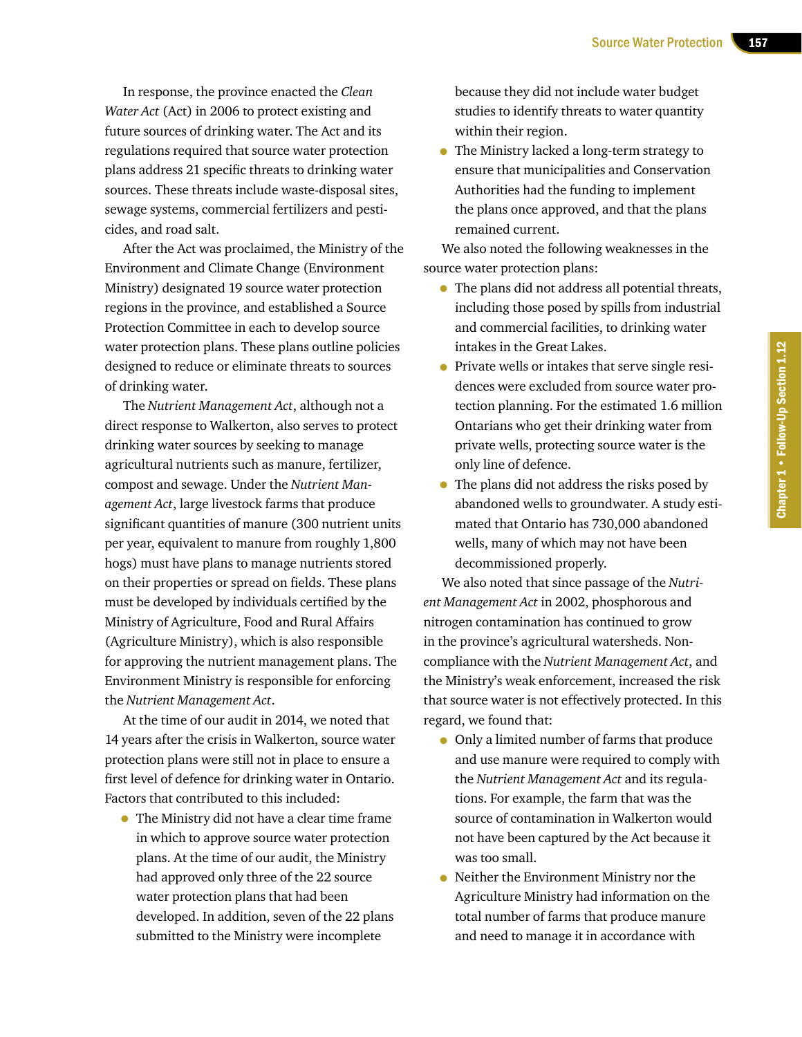In response, the province enacted the *Clean Water Act* (Act) in 2006 to protect existing and future sources of drinking water. The Act and its regulations required that source water protection plans address 21 specific threats to drinking water sources. These threats include waste-disposal sites, sewage systems, commercial fertilizers and pesticides, and road salt.

After the Act was proclaimed, the Ministry of the Environment and Climate Change (Environment Ministry) designated 19 source water protection regions in the province, and established a Source Protection Committee in each to develop source water protection plans. These plans outline policies designed to reduce or eliminate threats to sources of drinking water.

The *Nutrient Management Act*, although not a direct response to Walkerton, also serves to protect drinking water sources by seeking to manage agricultural nutrients such as manure, fertilizer, compost and sewage. Under the *Nutrient Management Act*, large livestock farms that produce significant quantities of manure (300 nutrient units per year, equivalent to manure from roughly 1,800 hogs) must have plans to manage nutrients stored on their properties or spread on fields. These plans must be developed by individuals certified by the Ministry of Agriculture, Food and Rural Affairs (Agriculture Ministry), which is also responsible for approving the nutrient management plans. The Environment Ministry is responsible for enforcing the *Nutrient Management Act*.

At the time of our audit in 2014, we noted that 14 years after the crisis in Walkerton, source water protection plans were still not in place to ensure a first level of defence for drinking water in Ontario. Factors that contributed to this included:

• The Ministry did not have a clear time frame in which to approve source water protection plans. At the time of our audit, the Ministry had approved only three of the 22 source water protection plans that had been developed. In addition, seven of the 22 plans submitted to the Ministry were incomplete

because they did not include water budget studies to identify threats to water quantity within their region.

• The Ministry lacked a long-term strategy to ensure that municipalities and Conservation Authorities had the funding to implement the plans once approved, and that the plans remained current.

We also noted the following weaknesses in the source water protection plans:

- The plans did not address all potential threats, including those posed by spills from industrial and commercial facilities, to drinking water intakes in the Great Lakes.
- Private wells or intakes that serve single residences were excluded from source water protection planning. For the estimated 1.6 million Ontarians who get their drinking water from private wells, protecting source water is the only line of defence.
- The plans did not address the risks posed by abandoned wells to groundwater. A study estimated that Ontario has 730,000 abandoned wells, many of which may not have been decommissioned properly.

We also noted that since passage of the *Nutrient Management Act* in 2002, phosphorous and nitrogen contamination has continued to grow in the province's agricultural watersheds. Noncompliance with the *Nutrient Management Act*, and the Ministry's weak enforcement, increased the risk that source water is not effectively protected. In this regard, we found that:

- Only a limited number of farms that produce and use manure were required to comply with the *Nutrient Management Act* and its regulations. For example, the farm that was the source of contamination in Walkerton would not have been captured by the Act because it was too small.
- Neither the Environment Ministry nor the Agriculture Ministry had information on the total number of farms that produce manure and need to manage it in accordance with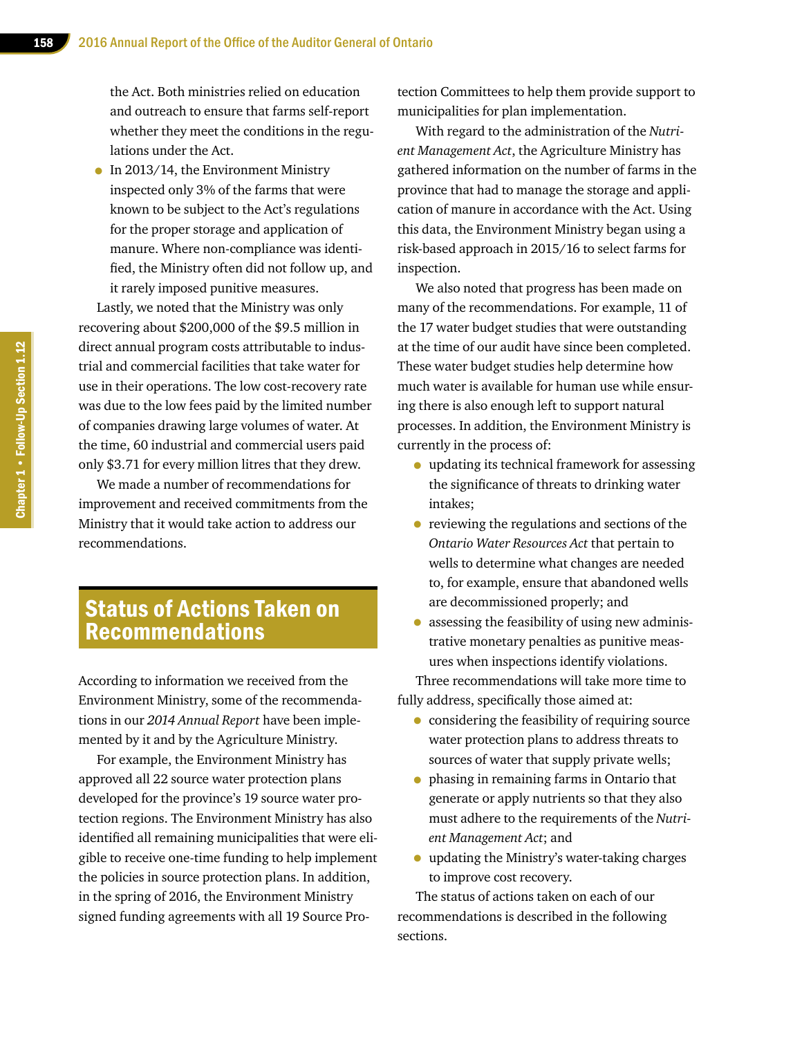the Act. Both ministries relied on education and outreach to ensure that farms self-report whether they meet the conditions in the regulations under the Act.

• In 2013/14, the Environment Ministry inspected only 3% of the farms that were known to be subject to the Act's regulations for the proper storage and application of manure. Where non-compliance was identified, the Ministry often did not follow up, and it rarely imposed punitive measures.

Lastly, we noted that the Ministry was only recovering about \$200,000 of the \$9.5 million in direct annual program costs attributable to industrial and commercial facilities that take water for use in their operations. The low cost-recovery rate was due to the low fees paid by the limited number of companies drawing large volumes of water. At the time, 60 industrial and commercial users paid only \$3.71 for every million litres that they drew.

We made a number of recommendations for improvement and received commitments from the Ministry that it would take action to address our recommendations.

# Status of Actions Taken on Recommendations

According to information we received from the Environment Ministry, some of the recommendations in our *2014 Annual Report* have been implemented by it and by the Agriculture Ministry.

For example, the Environment Ministry has approved all 22 source water protection plans developed for the province's 19 source water protection regions. The Environment Ministry has also identified all remaining municipalities that were eligible to receive one-time funding to help implement the policies in source protection plans. In addition, in the spring of 2016, the Environment Ministry signed funding agreements with all 19 Source Protection Committees to help them provide support to municipalities for plan implementation.

With regard to the administration of the *Nutrient Management Act*, the Agriculture Ministry has gathered information on the number of farms in the province that had to manage the storage and application of manure in accordance with the Act. Using this data, the Environment Ministry began using a risk-based approach in 2015/16 to select farms for inspection.

We also noted that progress has been made on many of the recommendations. For example, 11 of the 17 water budget studies that were outstanding at the time of our audit have since been completed. These water budget studies help determine how much water is available for human use while ensuring there is also enough left to support natural processes. In addition, the Environment Ministry is currently in the process of:

- updating its technical framework for assessing the significance of threats to drinking water intakes;
- reviewing the regulations and sections of the *Ontario Water Resources Act* that pertain to wells to determine what changes are needed to, for example, ensure that abandoned wells are decommissioned properly; and
- assessing the feasibility of using new administrative monetary penalties as punitive measures when inspections identify violations.

Three recommendations will take more time to fully address, specifically those aimed at:

- considering the feasibility of requiring source water protection plans to address threats to sources of water that supply private wells;
- phasing in remaining farms in Ontario that generate or apply nutrients so that they also must adhere to the requirements of the *Nutrient Management Act*; and
- updating the Ministry's water-taking charges to improve cost recovery.

The status of actions taken on each of our recommendations is described in the following sections.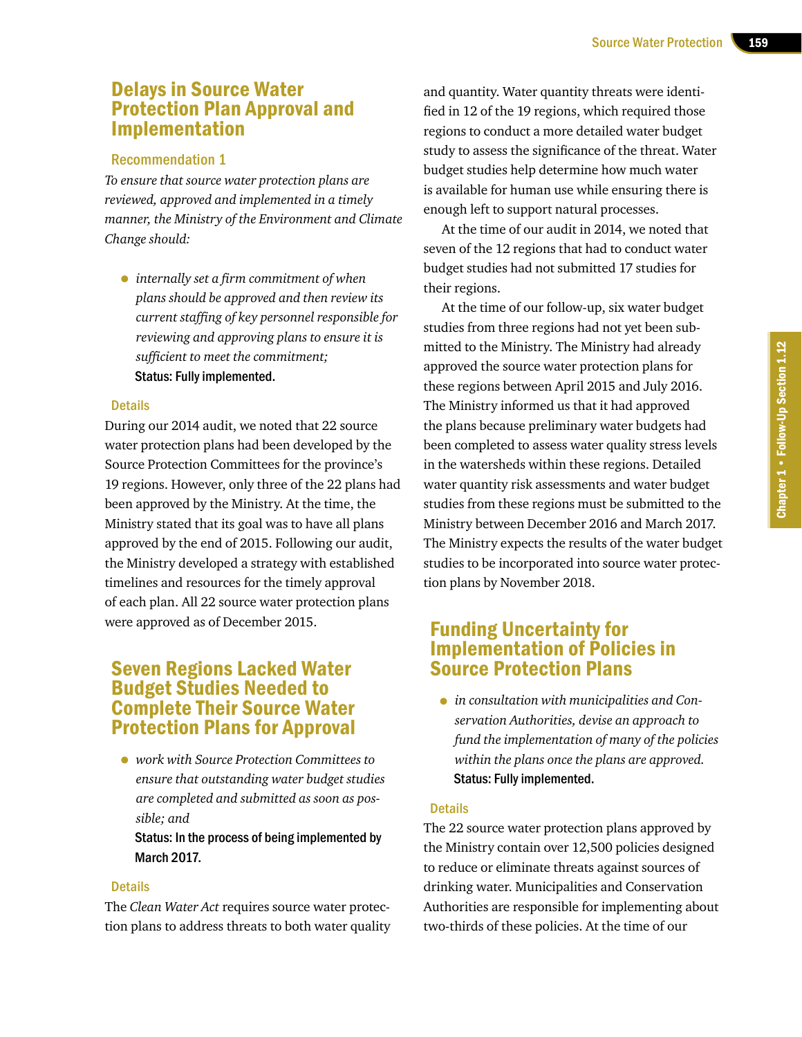# Delays in Source Water Protection Plan Approval and Implementation

### Recommendation 1

*To ensure that source water protection plans are reviewed, approved and implemented in a timely manner, the Ministry of the Environment and Climate Change should:*

• *internally set <sup>a</sup> firm commitment of when plans should be approved and then review its current staffing of key personnel responsible for reviewing and approving plans to ensure it is sufficient to meet the commitment;* Status: Fully implemented.

### Details

During our 2014 audit, we noted that 22 source water protection plans had been developed by the Source Protection Committees for the province's 19 regions. However, only three of the 22 plans had been approved by the Ministry. At the time, the Ministry stated that its goal was to have all plans approved by the end of 2015. Following our audit, the Ministry developed a strategy with established timelines and resources for the timely approval of each plan. All 22 source water protection plans were approved as of December 2015.

# Seven Regions Lacked Water Budget Studies Needed to Complete Their Source Water Protection Plans for Approval

• *work with Source Protection Committees to ensure that outstanding water budget studies are completed and submitted as soon as possible; and*

### Status: In the process of being implemented by March 2017.

### **Details**

The *Clean Water Act* requires source water protection plans to address threats to both water quality

and quantity. Water quantity threats were identified in 12 of the 19 regions, which required those regions to conduct a more detailed water budget study to assess the significance of the threat. Water budget studies help determine how much water is available for human use while ensuring there is enough left to support natural processes.

At the time of our audit in 2014, we noted that seven of the 12 regions that had to conduct water budget studies had not submitted 17 studies for their regions.

At the time of our follow-up, six water budget studies from three regions had not yet been submitted to the Ministry. The Ministry had already approved the source water protection plans for these regions between April 2015 and July 2016. The Ministry informed us that it had approved the plans because preliminary water budgets had been completed to assess water quality stress levels in the watersheds within these regions. Detailed water quantity risk assessments and water budget studies from these regions must be submitted to the Ministry between December 2016 and March 2017. The Ministry expects the results of the water budget studies to be incorporated into source water protection plans by November 2018.

# Funding Uncertainty for Implementation of Policies in Source Protection Plans

• *in consultation with municipalities and Conservation Authorities, devise an approach to fund the implementation of many of the policies within the plans once the plans are approved.* Status: Fully implemented.

### **Details**

The 22 source water protection plans approved by the Ministry contain over 12,500 policies designed to reduce or eliminate threats against sources of drinking water. Municipalities and Conservation Authorities are responsible for implementing about two-thirds of these policies. At the time of our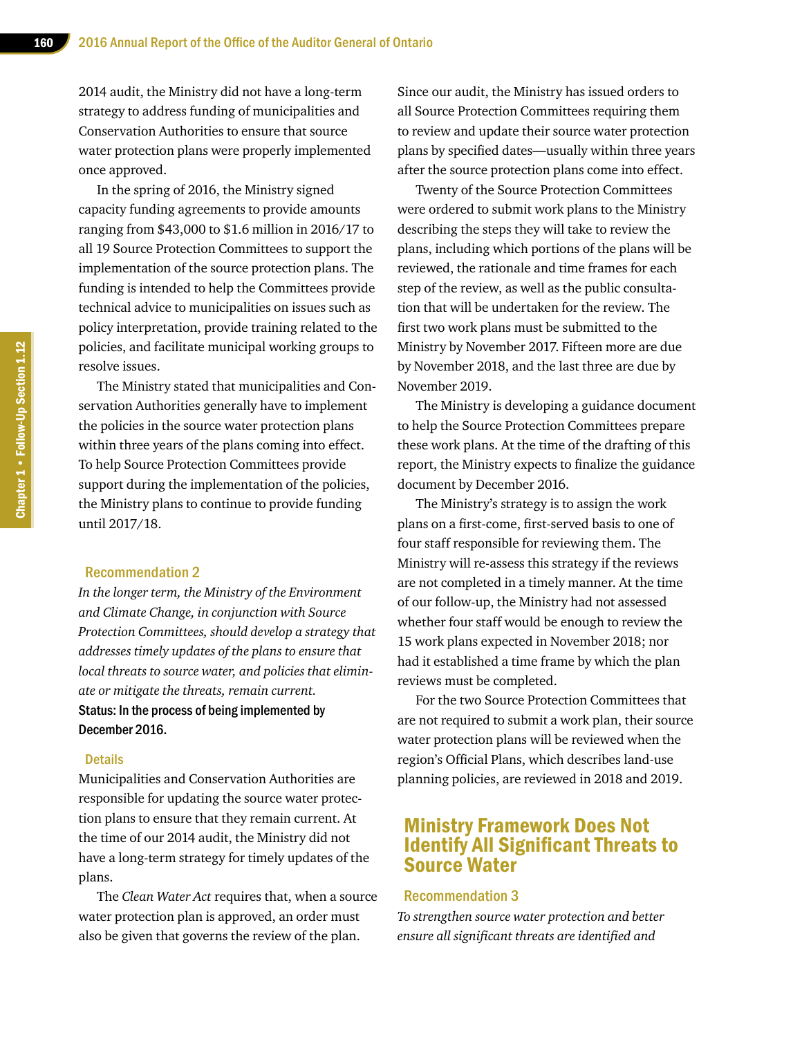2014 audit, the Ministry did not have a long-term strategy to address funding of municipalities and Conservation Authorities to ensure that source water protection plans were properly implemented once approved.

In the spring of 2016, the Ministry signed capacity funding agreements to provide amounts ranging from \$43,000 to \$1.6 million in 2016/17 to all 19 Source Protection Committees to support the implementation of the source protection plans. The funding is intended to help the Committees provide technical advice to municipalities on issues such as policy interpretation, provide training related to the policies, and facilitate municipal working groups to resolve issues.

The Ministry stated that municipalities and Conservation Authorities generally have to implement the policies in the source water protection plans within three years of the plans coming into effect. To help Source Protection Committees provide support during the implementation of the policies, the Ministry plans to continue to provide funding until 2017/18.

### Recommendation 2

*In the longer term, the Ministry of the Environment and Climate Change, in conjunction with Source Protection Committees, should develop a strategy that addresses timely updates of the plans to ensure that local threats to source water, and policies that eliminate or mitigate the threats, remain current.* Status: In the process of being implemented by December 2016.

### **Details**

Municipalities and Conservation Authorities are responsible for updating the source water protection plans to ensure that they remain current. At the time of our 2014 audit, the Ministry did not have a long-term strategy for timely updates of the plans.

The *Clean Water Act* requires that, when a source water protection plan is approved, an order must also be given that governs the review of the plan.

Since our audit, the Ministry has issued orders to all Source Protection Committees requiring them to review and update their source water protection plans by specified dates—usually within three years after the source protection plans come into effect.

Twenty of the Source Protection Committees were ordered to submit work plans to the Ministry describing the steps they will take to review the plans, including which portions of the plans will be reviewed, the rationale and time frames for each step of the review, as well as the public consultation that will be undertaken for the review. The first two work plans must be submitted to the Ministry by November 2017. Fifteen more are due by November 2018, and the last three are due by November 2019.

The Ministry is developing a guidance document to help the Source Protection Committees prepare these work plans. At the time of the drafting of this report, the Ministry expects to finalize the guidance document by December 2016.

The Ministry's strategy is to assign the work plans on a first-come, first-served basis to one of four staff responsible for reviewing them. The Ministry will re-assess this strategy if the reviews are not completed in a timely manner. At the time of our follow-up, the Ministry had not assessed whether four staff would be enough to review the 15 work plans expected in November 2018; nor had it established a time frame by which the plan reviews must be completed.

For the two Source Protection Committees that are not required to submit a work plan, their source water protection plans will be reviewed when the region's Official Plans, which describes land-use planning policies, are reviewed in 2018 and 2019.

# Ministry Framework Does Not Identify All Significant Threats to Source Water

### Recommendation 3

*To strengthen source water protection and better ensure all significant threats are identified and*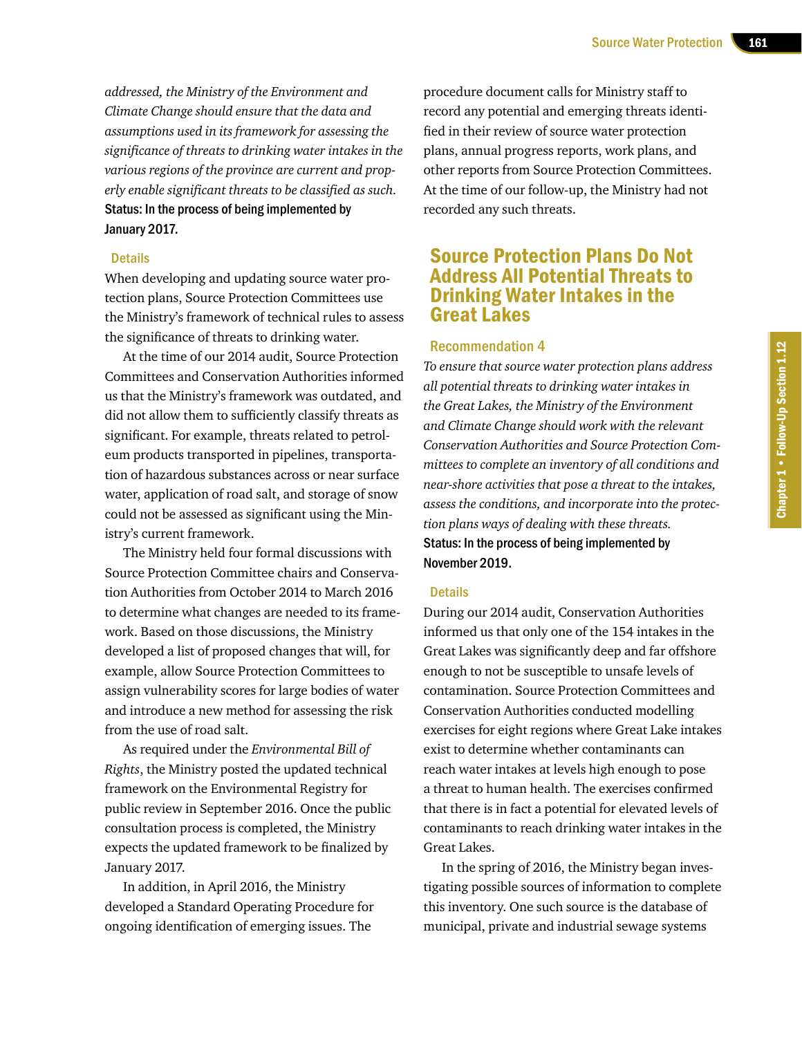*addressed, the Ministry of the Environment and Climate Change should ensure that the data and assumptions used in its framework for assessing the significance of threats to drinking water intakes in the various regions of the province are current and properly enable significant threats to be classified as such.* Status: In the process of being implemented by January 2017.

### **Details**

When developing and updating source water protection plans, Source Protection Committees use the Ministry's framework of technical rules to assess the significance of threats to drinking water.

At the time of our 2014 audit, Source Protection Committees and Conservation Authorities informed us that the Ministry's framework was outdated, and did not allow them to sufficiently classify threats as significant. For example, threats related to petroleum products transported in pipelines, transportation of hazardous substances across or near surface water, application of road salt, and storage of snow could not be assessed as significant using the Ministry's current framework.

The Ministry held four formal discussions with Source Protection Committee chairs and Conservation Authorities from October 2014 to March 2016 to determine what changes are needed to its framework. Based on those discussions, the Ministry developed a list of proposed changes that will, for example, allow Source Protection Committees to assign vulnerability scores for large bodies of water and introduce a new method for assessing the risk from the use of road salt.

As required under the *Environmental Bill of Rights*, the Ministry posted the updated technical framework on the Environmental Registry for public review in September 2016. Once the public consultation process is completed, the Ministry expects the updated framework to be finalized by January 2017.

In addition, in April 2016, the Ministry developed a Standard Operating Procedure for ongoing identification of emerging issues. The

procedure document calls for Ministry staff to record any potential and emerging threats identified in their review of source water protection plans, annual progress reports, work plans, and other reports from Source Protection Committees. At the time of our follow-up, the Ministry had not recorded any such threats.

# Source Protection Plans Do Not Address All Potential Threats to Drinking Water Intakes in the Great Lakes

### Recommendation 4

*To ensure that source water protection plans address all potential threats to drinking water intakes in the Great Lakes, the Ministry of the Environment and Climate Change should work with the relevant Conservation Authorities and Source Protection Committees to complete an inventory of all conditions and near-shore activities that pose a threat to the intakes, assess the conditions, and incorporate into the protection plans ways of dealing with these threats.* Status: In the process of being implemented by November 2019.

### **Details**

During our 2014 audit, Conservation Authorities informed us that only one of the 154 intakes in the Great Lakes was significantly deep and far offshore enough to not be susceptible to unsafe levels of contamination. Source Protection Committees and Conservation Authorities conducted modelling exercises for eight regions where Great Lake intakes exist to determine whether contaminants can reach water intakes at levels high enough to pose a threat to human health. The exercises confirmed that there is in fact a potential for elevated levels of contaminants to reach drinking water intakes in the Great Lakes.

In the spring of 2016, the Ministry began investigating possible sources of information to complete this inventory. One such source is the database of municipal, private and industrial sewage systems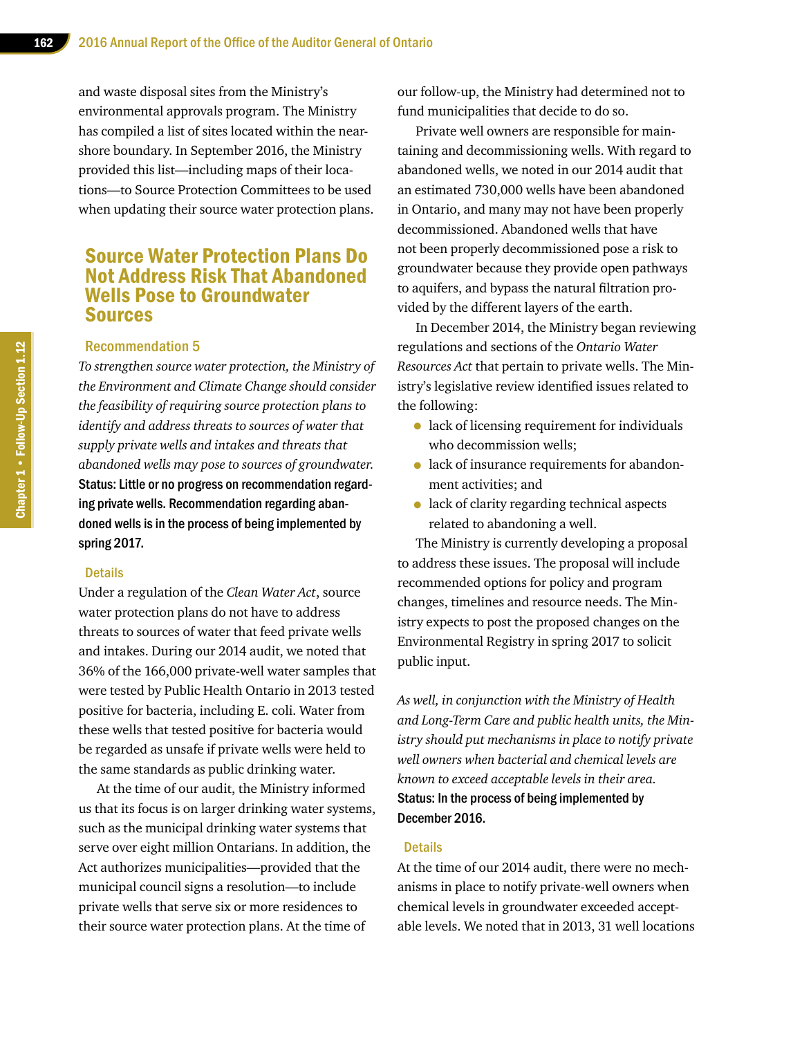and waste disposal sites from the Ministry's environmental approvals program. The Ministry has compiled a list of sites located within the nearshore boundary. In September 2016, the Ministry provided this list—including maps of their locations—to Source Protection Committees to be used when updating their source water protection plans.

# Source Water Protection Plans Do Not Address Risk That Abandoned Wells Pose to Groundwater Sources

### Recommendation 5

*To strengthen source water protection, the Ministry of the Environment and Climate Change should consider the feasibility of requiring source protection plans to identify and address threats to sources of water that supply private wells and intakes and threats that abandoned wells may pose to sources of groundwater.* Status: Little or no progress on recommendation regarding private wells. Recommendation regarding abandoned wells is in the process of being implemented by spring 2017.

### **Details**

Under a regulation of the *Clean Water Act*, source water protection plans do not have to address threats to sources of water that feed private wells and intakes. During our 2014 audit, we noted that 36% of the 166,000 private-well water samples that were tested by Public Health Ontario in 2013 tested positive for bacteria, including E. coli. Water from these wells that tested positive for bacteria would be regarded as unsafe if private wells were held to the same standards as public drinking water.

At the time of our audit, the Ministry informed us that its focus is on larger drinking water systems, such as the municipal drinking water systems that serve over eight million Ontarians. In addition, the Act authorizes municipalities—provided that the municipal council signs a resolution—to include private wells that serve six or more residences to their source water protection plans. At the time of

our follow-up, the Ministry had determined not to fund municipalities that decide to do so.

Private well owners are responsible for maintaining and decommissioning wells. With regard to abandoned wells, we noted in our 2014 audit that an estimated 730,000 wells have been abandoned in Ontario, and many may not have been properly decommissioned. Abandoned wells that have not been properly decommissioned pose a risk to groundwater because they provide open pathways to aquifers, and bypass the natural filtration provided by the different layers of the earth.

In December 2014, the Ministry began reviewing regulations and sections of the *Ontario Water Resources Act* that pertain to private wells. The Ministry's legislative review identified issues related to the following:

- lack of licensing requirement for individuals who decommission wells;
- lack of insurance requirements for abandonment activities; and
- lack of clarity regarding technical aspects related to abandoning a well.

The Ministry is currently developing a proposal to address these issues. The proposal will include recommended options for policy and program changes, timelines and resource needs. The Ministry expects to post the proposed changes on the Environmental Registry in spring 2017 to solicit public input.

*As well, in conjunction with the Ministry of Health and Long-Term Care and public health units, the Ministry should put mechanisms in place to notify private well owners when bacterial and chemical levels are known to exceed acceptable levels in their area.* Status: In the process of being implemented by December 2016.

### **Details**

At the time of our 2014 audit, there were no mechanisms in place to notify private-well owners when chemical levels in groundwater exceeded acceptable levels. We noted that in 2013, 31 well locations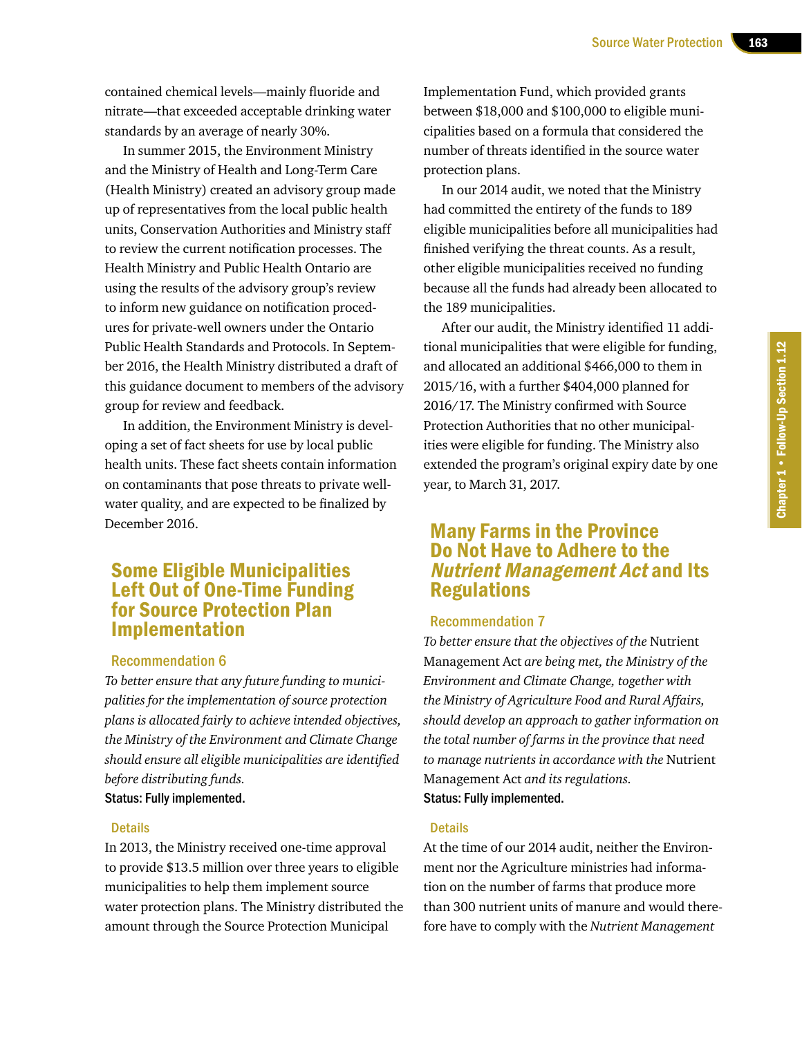contained chemical levels—mainly fluoride and nitrate—that exceeded acceptable drinking water standards by an average of nearly 30%.

In summer 2015, the Environment Ministry and the Ministry of Health and Long-Term Care (Health Ministry) created an advisory group made up of representatives from the local public health units, Conservation Authorities and Ministry staff to review the current notification processes. The Health Ministry and Public Health Ontario are using the results of the advisory group's review to inform new guidance on notification procedures for private-well owners under the Ontario Public Health Standards and Protocols. In September 2016, the Health Ministry distributed a draft of this guidance document to members of the advisory group for review and feedback.

In addition, the Environment Ministry is developing a set of fact sheets for use by local public health units. These fact sheets contain information on contaminants that pose threats to private wellwater quality, and are expected to be finalized by December 2016.

# Some Eligible Municipalities Left Out of One-Time Funding for Source Protection Plan Implementation

### Recommendation 6

*To better ensure that any future funding to municipalities for the implementation of source protection plans is allocated fairly to achieve intended objectives, the Ministry of the Environment and Climate Change should ensure all eligible municipalities are identified before distributing funds.* Status: Fully implemented.

# **Details**

In 2013, the Ministry received one-time approval to provide \$13.5 million over three years to eligible municipalities to help them implement source water protection plans. The Ministry distributed the amount through the Source Protection Municipal

Implementation Fund, which provided grants between \$18,000 and \$100,000 to eligible municipalities based on a formula that considered the number of threats identified in the source water protection plans.

In our 2014 audit, we noted that the Ministry had committed the entirety of the funds to 189 eligible municipalities before all municipalities had finished verifying the threat counts. As a result, other eligible municipalities received no funding because all the funds had already been allocated to the 189 municipalities.

After our audit, the Ministry identified 11 additional municipalities that were eligible for funding, and allocated an additional \$466,000 to them in 2015/16, with a further \$404,000 planned for 2016/17. The Ministry confirmed with Source Protection Authorities that no other municipalities were eligible for funding. The Ministry also extended the program's original expiry date by one year, to March 31, 2017.

# Many Farms in the Province Do Not Have to Adhere to the Nutrient Management Act and Its **Regulations**

### Recommendation 7

*To better ensure that the objectives of the* Nutrient Management Act *are being met, the Ministry of the Environment and Climate Change, together with the Ministry of Agriculture Food and Rural Affairs, should develop an approach to gather information on the total number of farms in the province that need to manage nutrients in accordance with the* Nutrient Management Act *and its regulations.* Status: Fully implemented.

### **Details**

At the time of our 2014 audit, neither the Environment nor the Agriculture ministries had information on the number of farms that produce more than 300 nutrient units of manure and would therefore have to comply with the *Nutrient Management*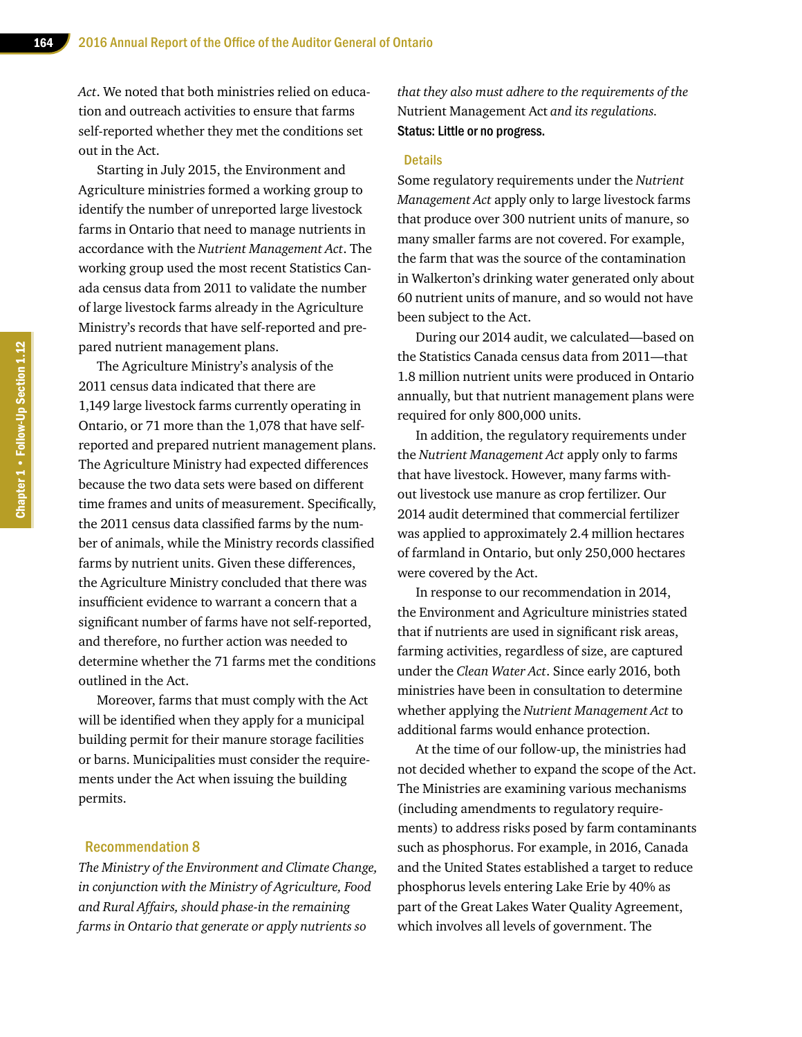*Act*. We noted that both ministries relied on education and outreach activities to ensure that farms self-reported whether they met the conditions set out in the Act.

Starting in July 2015, the Environment and Agriculture ministries formed a working group to identify the number of unreported large livestock farms in Ontario that need to manage nutrients in accordance with the *Nutrient Management Act*. The working group used the most recent Statistics Canada census data from 2011 to validate the number of large livestock farms already in the Agriculture Ministry's records that have self-reported and prepared nutrient management plans.

The Agriculture Ministry's analysis of the 2011 census data indicated that there are 1,149 large livestock farms currently operating in Ontario, or 71 more than the 1,078 that have selfreported and prepared nutrient management plans. The Agriculture Ministry had expected differences because the two data sets were based on different time frames and units of measurement. Specifically, the 2011 census data classified farms by the number of animals, while the Ministry records classified farms by nutrient units. Given these differences, the Agriculture Ministry concluded that there was insufficient evidence to warrant a concern that a significant number of farms have not self-reported, and therefore, no further action was needed to determine whether the 71 farms met the conditions outlined in the Act.

Moreover, farms that must comply with the Act will be identified when they apply for a municipal building permit for their manure storage facilities or barns. Municipalities must consider the requirements under the Act when issuing the building permits.

### Recommendation 8

*The Ministry of the Environment and Climate Change, in conjunction with the Ministry of Agriculture, Food and Rural Affairs, should phase-in the remaining farms in Ontario that generate or apply nutrients so* 

*that they also must adhere to the requirements of the*  Nutrient Management Act *and its regulations.* Status: Little or no progress.

### **Details**

Some regulatory requirements under the *Nutrient Management Act* apply only to large livestock farms that produce over 300 nutrient units of manure, so many smaller farms are not covered. For example, the farm that was the source of the contamination in Walkerton's drinking water generated only about 60 nutrient units of manure, and so would not have been subject to the Act.

During our 2014 audit, we calculated—based on the Statistics Canada census data from 2011—that 1.8 million nutrient units were produced in Ontario annually, but that nutrient management plans were required for only 800,000 units.

In addition, the regulatory requirements under the *Nutrient Management Act* apply only to farms that have livestock. However, many farms without livestock use manure as crop fertilizer. Our 2014 audit determined that commercial fertilizer was applied to approximately 2.4 million hectares of farmland in Ontario, but only 250,000 hectares were covered by the Act.

In response to our recommendation in 2014, the Environment and Agriculture ministries stated that if nutrients are used in significant risk areas, farming activities, regardless of size, are captured under the *Clean Water Act*. Since early 2016, both ministries have been in consultation to determine whether applying the *Nutrient Management Act* to additional farms would enhance protection.

At the time of our follow-up, the ministries had not decided whether to expand the scope of the Act. The Ministries are examining various mechanisms (including amendments to regulatory requirements) to address risks posed by farm contaminants such as phosphorus. For example, in 2016, Canada and the United States established a target to reduce phosphorus levels entering Lake Erie by 40% as part of the Great Lakes Water Quality Agreement, which involves all levels of government. The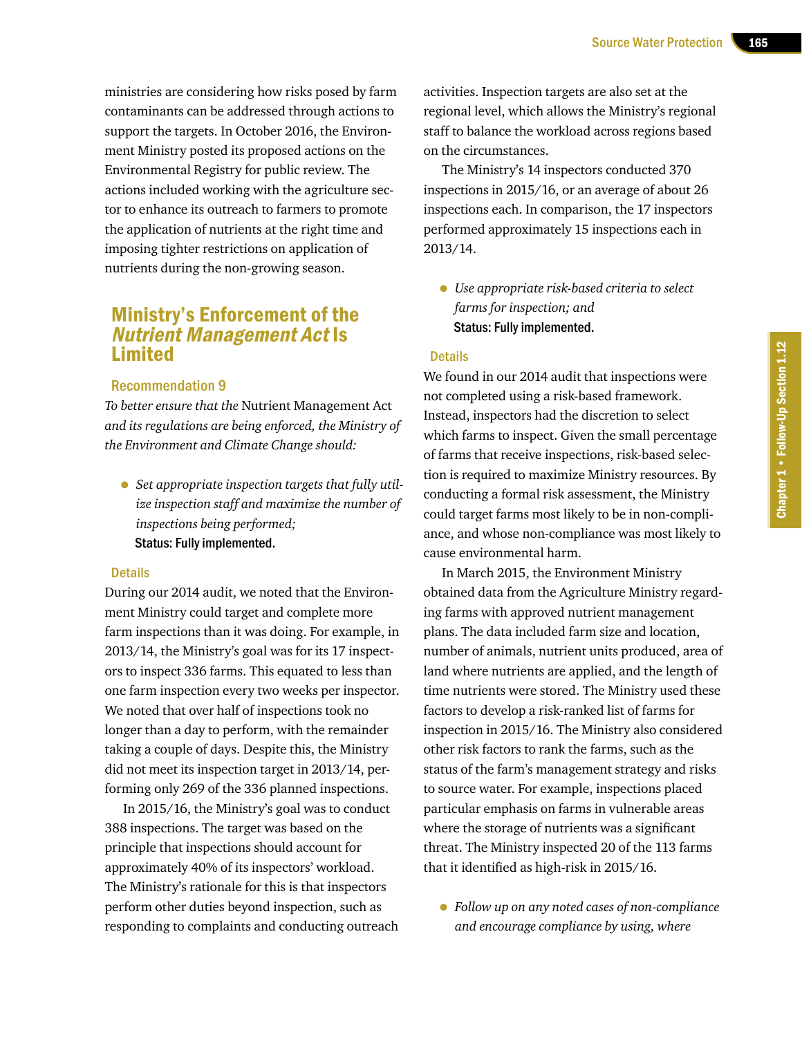ministries are considering how risks posed by farm contaminants can be addressed through actions to support the targets. In October 2016, the Environment Ministry posted its proposed actions on the Environmental Registry for public review. The actions included working with the agriculture sector to enhance its outreach to farmers to promote the application of nutrients at the right time and imposing tighter restrictions on application of nutrients during the non-growing season.

# Ministry's Enforcement of the Nutrient Management Act Is Limited

### Recommendation 9

*To better ensure that the* Nutrient Management Act *and its regulations are being enforced, the Ministry of the Environment and Climate Change should:*

• *Set appropriate inspection targets that fully utilize inspection staff and maximize the number of inspections being performed;* Status: Fully implemented.

### **Details**

During our 2014 audit, we noted that the Environment Ministry could target and complete more farm inspections than it was doing. For example, in 2013/14, the Ministry's goal was for its 17 inspectors to inspect 336 farms. This equated to less than one farm inspection every two weeks per inspector. We noted that over half of inspections took no longer than a day to perform, with the remainder taking a couple of days. Despite this, the Ministry did not meet its inspection target in 2013/14, performing only 269 of the 336 planned inspections.

In 2015/16, the Ministry's goal was to conduct 388 inspections. The target was based on the principle that inspections should account for approximately 40% of its inspectors' workload. The Ministry's rationale for this is that inspectors perform other duties beyond inspection, such as responding to complaints and conducting outreach

activities. Inspection targets are also set at the regional level, which allows the Ministry's regional staff to balance the workload across regions based on the circumstances.

The Ministry's 14 inspectors conducted 370 inspections in 2015/16, or an average of about 26 inspections each. In comparison, the 17 inspectors performed approximately 15 inspections each in 2013/14.

• *Use appropriate risk-based criteria to select farms for inspection; and* Status: Fully implemented.

### **Details**

We found in our 2014 audit that inspections were not completed using a risk-based framework. Instead, inspectors had the discretion to select which farms to inspect. Given the small percentage of farms that receive inspections, risk-based selection is required to maximize Ministry resources. By conducting a formal risk assessment, the Ministry could target farms most likely to be in non-compliance, and whose non-compliance was most likely to cause environmental harm.

In March 2015, the Environment Ministry obtained data from the Agriculture Ministry regarding farms with approved nutrient management plans. The data included farm size and location, number of animals, nutrient units produced, area of land where nutrients are applied, and the length of time nutrients were stored. The Ministry used these factors to develop a risk-ranked list of farms for inspection in 2015/16. The Ministry also considered other risk factors to rank the farms, such as the status of the farm's management strategy and risks to source water. For example, inspections placed particular emphasis on farms in vulnerable areas where the storage of nutrients was a significant threat. The Ministry inspected 20 of the 113 farms that it identified as high-risk in 2015/16.

• *Follow up on any noted cases of non-compliance and encourage compliance by using, where*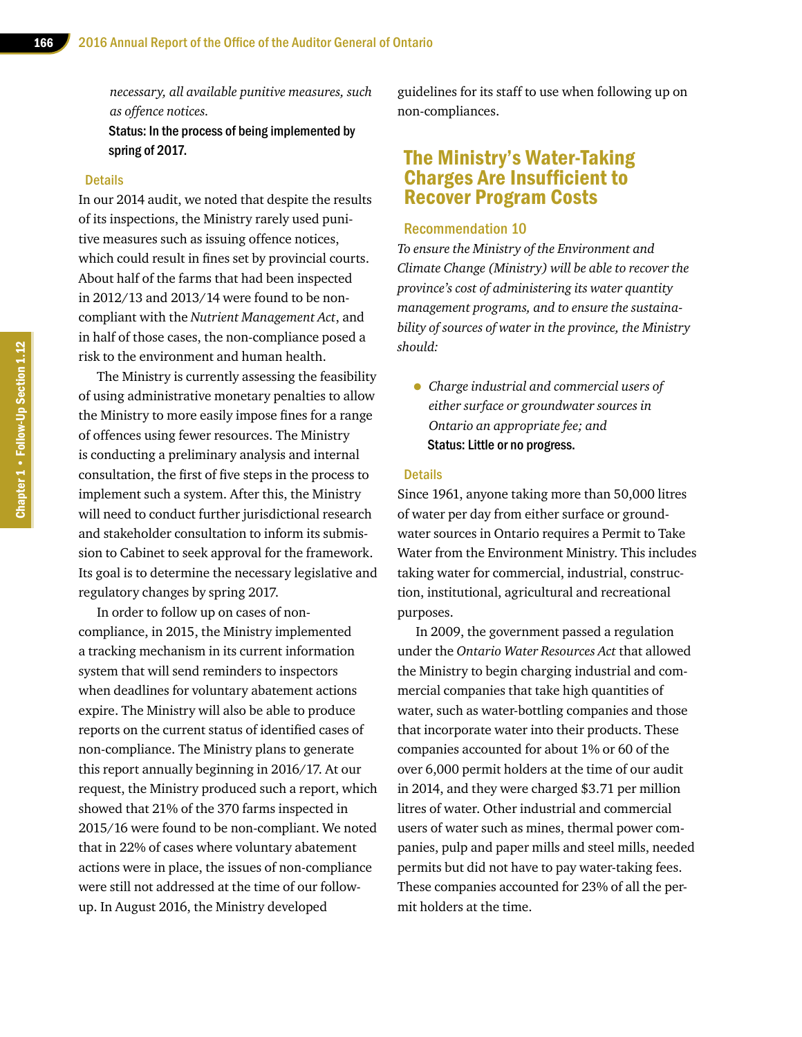*necessary, all available punitive measures, such as offence notices.*

Status: In the process of being implemented by spring of 2017.

### **Details**

In our 2014 audit, we noted that despite the results of its inspections, the Ministry rarely used punitive measures such as issuing offence notices, which could result in fines set by provincial courts. About half of the farms that had been inspected in 2012/13 and 2013/14 were found to be noncompliant with the *Nutrient Management Act*, and in half of those cases, the non-compliance posed a risk to the environment and human health.

The Ministry is currently assessing the feasibility of using administrative monetary penalties to allow the Ministry to more easily impose fines for a range of offences using fewer resources. The Ministry is conducting a preliminary analysis and internal consultation, the first of five steps in the process to implement such a system. After this, the Ministry will need to conduct further jurisdictional research and stakeholder consultation to inform its submission to Cabinet to seek approval for the framework. Its goal is to determine the necessary legislative and regulatory changes by spring 2017.

In order to follow up on cases of noncompliance, in 2015, the Ministry implemented a tracking mechanism in its current information system that will send reminders to inspectors when deadlines for voluntary abatement actions expire. The Ministry will also be able to produce reports on the current status of identified cases of non-compliance. The Ministry plans to generate this report annually beginning in 2016/17. At our request, the Ministry produced such a report, which showed that 21% of the 370 farms inspected in 2015/16 were found to be non-compliant. We noted that in 22% of cases where voluntary abatement actions were in place, the issues of non-compliance were still not addressed at the time of our followup. In August 2016, the Ministry developed

guidelines for its staff to use when following up on non-compliances.

# The Ministry's Water-Taking Charges Are Insufficient to Recover Program Costs

### Recommendation 10

*To ensure the Ministry of the Environment and Climate Change (Ministry) will be able to recover the province's cost of administering its water quantity management programs, and to ensure the sustainability of sources of water in the province, the Ministry should:*

• *Charge industrial and commercial users of either surface or groundwater sources in Ontario an appropriate fee; and* Status: Little or no progress.

### **Details**

Since 1961, anyone taking more than 50,000 litres of water per day from either surface or groundwater sources in Ontario requires a Permit to Take Water from the Environment Ministry. This includes taking water for commercial, industrial, construction, institutional, agricultural and recreational purposes.

In 2009, the government passed a regulation under the *Ontario Water Resources Act* that allowed the Ministry to begin charging industrial and commercial companies that take high quantities of water, such as water-bottling companies and those that incorporate water into their products. These companies accounted for about 1% or 60 of the over 6,000 permit holders at the time of our audit in 2014, and they were charged \$3.71 per million litres of water. Other industrial and commercial users of water such as mines, thermal power companies, pulp and paper mills and steel mills, needed permits but did not have to pay water-taking fees. These companies accounted for 23% of all the permit holders at the time.